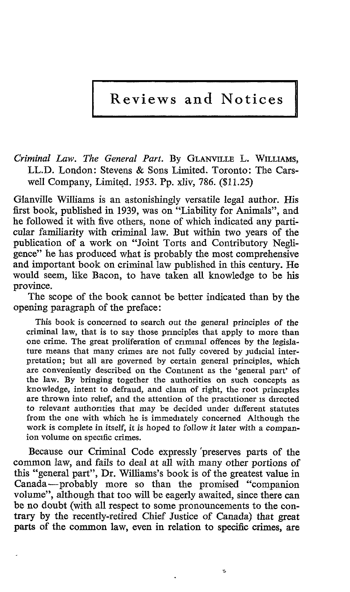Reviews and Notices

Criminal Law. The General Part. By GLANVILLE L. WILLIAMs, LL.D. London: Stevens & Sons Limited. Toronto: The Carswell Company, Limited. 1953 . Pp. xliv, 786. (\$11 .25)

Glanville Williams is an astonishingly versatile legal author. His first book, published in 1939, was on "Liability for Animals", and he followed it with five others, none of which indicated any particular familiarity with criminal law. But within two years of the publication of a work on "Joint Torts and Contributory Negligence" he has produced what is probably the most comprehensive and important book on criminal law published in this century. He would seem, like Bacon, to have taken all knowledge to be his province.

The scope of the book cannot be better indicated than by the opening paragraph of the preface :

This book is concerned to search out the general principles of the criminal law, that is to say those principles that apply to more than one crime. The great proliferation of criminal offences by the legislature means that many crimes are not fully covered by judicial interpretation; but all are governed by certain general principles, which are conveniently described on the Continent as the `general part' of the law. By bringing together the authorities on such concepts as knowledge, intent to defraud, and claim of right, the root principles are thrown into relief, and the attention of the practitioner is directed to relevant authorities that may be decided under different statutes from the one with which he is immediately concerned Although the work is complete in itself, it is hoped to follow it later with a companion volume on specific crimes.

Because our Criminal Code expressly 'preserves parts of the common law, and fails to deal at all with many other portions of this "general part", Dr. Williams's book is of the greatest value in Canada-probably more so than the promised "companion volume", although that too will be eagerly awaited, since there can be no doubt (with all respect to some pronouncements to the contrary by the recently-retired Chief Justice of Canada) that great parts of the common law, even in relation to specific crimes, are

Ņ.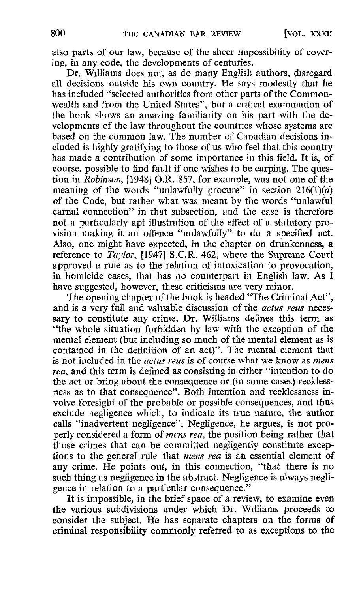also parts of our law, because of the sheer impossibility of covering, in any code, the developments of centuries.

Dr. Williams does not, as do many English authors, disregard all decisions outside his own country. He says modestly that he has included "selected authorities from other parts of the Commonwealth and from the United States", but a critical examination of the book shows an amazing familiarity on his part with the developments of the law throughout the countries whose systems are based on the common law. The number of Canadian decisions included is highly gratifying to those of us who feel that this country has made a contribution of some importance in this field. It is, of course, possible to find fault if one wishes to be carping. The question in Robinson, [1948] O.R. 857, for example, was not one of the meaning of the words "unlawfully procure" in section  $216(1)(a)$ of the Code, but rather what was meant by the words "unlawful carnal connection" in that subsection, and the case is therefore not a particularly apt illustration of the effect of a statutory provision making it an offence "unlawfully" to do a specified act. Also, one might have expected, in the chapter on drunkenness, a reference to *Taylor*, [1947] S.C.R. 462, where the Supreme Court approved a rule as to the relation of intoxication to provocation, in homicide cases, that has no counterpart in English law. As I have suggested, however, these criticisms are very minor.

The opening chapter of the book is headed "The Criminal Act", and is a very full and valuable discussion of the actus reus necessary to constitute any crime. Dr. Williams defines this term as "the whole situation forbidden by law with the exception of the mental element (but including so much of the mental element as is contained in the definition of an act)". The mental element that is not included in the *actus reus* is of course what we know as *mens* rea, and this term is defined as consisting in either `"intention to do the act or bring about the consequence or (in some cases) recklessness as to that consequence". Both intention and recklessness involve foresight of the probable or possible consequences, and thus exclude negligence which, to indicate its true nature, the author calls "inadvertent negligence". Negligence, he argues, is not properly considered a form of mens rea, the position being rather that those crimes that can be committed negligently constitute exceptions to the general rule that mens rea is an essential element of any crime. He points out, in this connection, "that there is no such thing as negligence in the abstract. Negligence is always negligence in relation to a particular consequence."

It is impossible, in the brief space of a review, to examine even the various subdivisions under which Dr. Williams proceeds to consider the subject. He has separate chapters on the forms of criminal responsibility commonly referred to as exceptions to the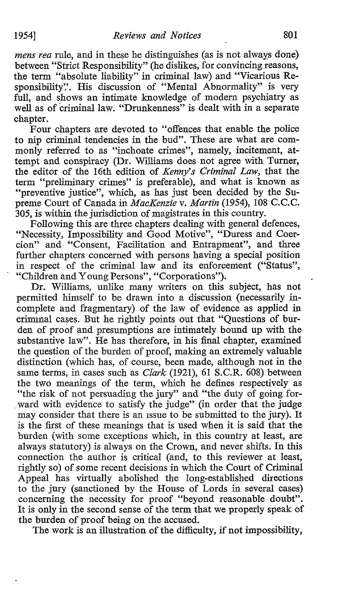mens rea rule, and in these he distinguishes (as is not always done) between "Strict Responsibility" (he dislikes, for convincing reasons, the term "absolute liability" in criminal law) and "Vicarious Responsibility". His discussion of "Mental Abnormality" is very full, and shows an intimate knowledge of modern psychiatry as well as of criminal law. "Drunkenness" is dealt with in a separate chapter.

Four chapters are devoted to "offences that enable the police to nip criminal tendencies in the bud". These are what are commonly referred to as "inchoate crimes", namely, incitement, at tempt and conspiracy (Dr. Williams does not agree with Turner, the editor of the 16th edition of Kenny's Criminal Law, that the term "preliminary crimes" is preferable), and what is known as "preventive justice", which, as has just been decided by the Supreme Court of Canada in MacKenzie v. Martin (1954), 108 C.C.C. 305, is within the jurisdiction of magistrates in this country.

Following this are three chapters dealing with general defences, "Necessity, Impossibility and Good Motive", "Duress and Coercion" and "Consent, Facilitation and Entrapment", and three further chapters concerned with persons having a special position in respect of the criminal law and its enforcement ("Status", "Children and Young Persons", "Corporations").

Dr. Williams, unlike many writers on this subject, has not permitted himself to be drawn into a discussion (necessarily incomplete and fragmentary) of the law of evidence as applied in criminal cases. But he rightly points out that "Questions of burden of proof and presumptions are intimately bound up with the substantive law". He has therefore, in his final chapter, examined the question of the burden of proof, making an extremely valuable distinction (which has, of course, been made, although not in the same terms, in cases such as *Clark* (1921), 61 S.C.R. 608) between the two meanings of the term, which he defines respectively as "the risk of not persuading the jury" and "the duty of going forward with evidence to satisfy the judge" (in order that the judge may consider that there is an issue to be submitted to the jury). It is the first of these meanings that is used when it is said that the burden (with some exceptions which, in this country at least, are always statutory) is always on the Crown, and never shifts. In this connection the author is critical (and, to this reviewer at least, rightly so) of some recent decisions in which the Court of Criminal Appeal has virtually abolished the long-established directions to the jury (sanctioned by the House of Lords in several cases) concerning the necessity for proof "beyond reasonable doubt". It is only in the second sense of the term that we properly speak of the burden of proof being on the accused.

The work is an illustration of the difficulty, if not impossibility,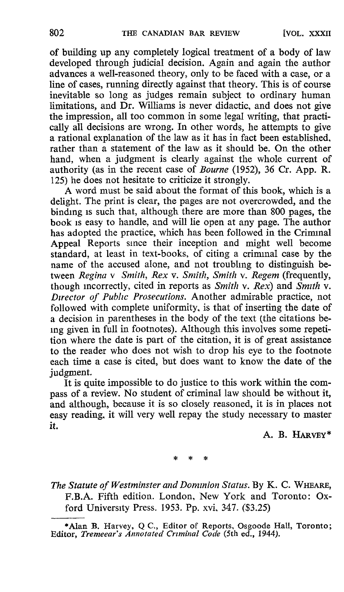of building up any completely logical treatment of a body of law developed through judicial decision . Again and again the author advances a well-reasoned theory, only to be faced with a case, or a line of cases, running directly against that theory. This is of course inevitable so long as judges remain subject to ordinary human limitations, and Dr. Williams is never didactic, and does not give the impression, all too common in some legal writing, that practically all decisions are wrong. In other words, he attempts to give a rational explanation of the law as it has in fact been established, rather than a statement of the law as it should be. On the other hand, when a judgment is clearly against the whole current of authority (as in the recent case of Bourne (1952), <sup>36</sup> Cr. App. R. 125) he does not hesitate to criticize it strongly .

A word must be said about the format of this book, which is a delight. The print is clear, the pages are not overcrowded, and the binding is such that, although there are more than 800 pages, the book is easy to handle, and will lie open at any page. The author has adopted the practice, which has been followed in the Criminal Appeal Reports since their inception and might well become standard, at least in text-books, of citing a criminal case by the name of the accused alone, and not troubling to distinguish between Regina v Smith, Rex v. Smith, Smith v. Regem (frequently, though incorrectly, cited in reports as  $Smith \ v.$  Rex) and  $Smith \ v.$ Director of Public Prosecutions. Another admirable practice, not followed with complete uniformity, is that of inserting the date of a decision in parentheses in the body of the text (the citations being given in full in footnotes) . Although this involves some repetition where the date is part of the citation, it is of great assistance to the reader who does not wish to drop his eye to the footnote each time a case is cited, but does want to know the date of the judgment.

It is quite impossible to do justice to this work within the compass of a review. No student of criminal law should be without it, and although, because it is so closely reasoned, it is in places not easy reading, it will very well repay the study necessary to master it.

A. B. HARVEY\*

The Statute of Westminster and Dominion Status. By K. C. WHEARE, F.B.A. Fifth edition. London, New York and Toronto: Oxford University Press. 1953. Pp. xvi, 347. (\$3.25)

<sup>\*</sup>Alan B. Harvey, Q C., Editor of Reports, Osgoode Hall, Toronto ; Editor, Tremeear's Annotated Criminal Code (5th ed., 1944).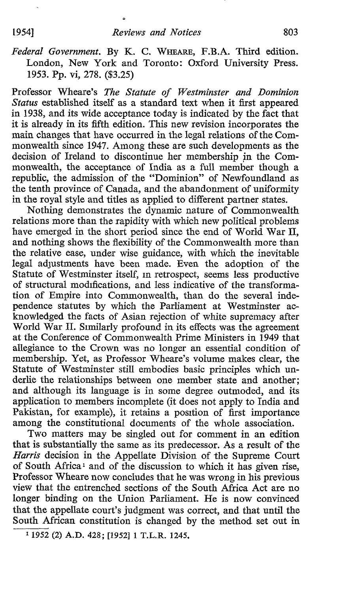Federal Government. By K. C. WHEARE, F.B.A. Third edition. London, New York and Toronto: Oxford University Press. 1953. Pp. vi, 278. (\$3.25)

Professor Wheare's The Statute of Westminster and Dominion Status established itself as a standard text when it first appeared in 1938, and its wide acceptance today is indicated by the fact that it is already in its fifth edition. This new revision incorporates the main changes that have occurred in the legal relations of the Commonwealth since 1947. Among these are such developments as the decision of Ireland to discontinue her membership in the Commonwealth, the acceptance of India as a full member though a republic, the admission of the "Dominion" of Newfoundland as the tenth province of Canada, and the abandonment of uniformity in the royal style and titles as applied to different partner states.

Nothing demonstrates the dynamic nature of Commonwealth relations more than the rapidity with which new political problems have emerged in the short period since the end of World War II, and nothing shows the flexibility of the Commonwealth more than the relative ease, under wise guidance, with which the inevitable legal adjustments have been made. Even the adoption of the Statute of Westminster itself, in retrospect, seems less productive of structural modifications, and less indicative of the transformation of Empire into Commonwealth, than do the several independence statutes by which the Parliament at Westminster acknowledged the facts of Asian rejection of white supremacy after World War II. Similarly profound in its effects was the agreement at the Conference of Commonwealth Prime Ministers in 1949 that allegiance to the Crown was no longer an essential condition of membership. Yet, as Professor Wheare's volume makes clear, the Statute of Westminster still embodies basic principles which underlie the relationships between one member state and another; and although its language is in some degree outmoded, and its application to members incomplete (it does not apply to India and Pakistan, for example), it retains a position of first importance among the constitutional documents of the whole association.

Two matters may be singled out for comment in an edition that is substantially the same as its predecessor. As a result of the Harris decision in the Appellate Division of the Supreme Court of South Africa<sup>1</sup> and of the discussion to which it has given rise, Professor Wheare now concludes that he was wrong in his previous view that the entrenched sections of the South Africa Act are no longer binding on the Union Parliament. He is now convinced that the appellate court's judgment was correct, and that until the South African constitution is changed by the method set out in

<sup>&</sup>lt;sup>1</sup> 1952 (2) A.D. 428; [1952] 1 T.L.R. 1245.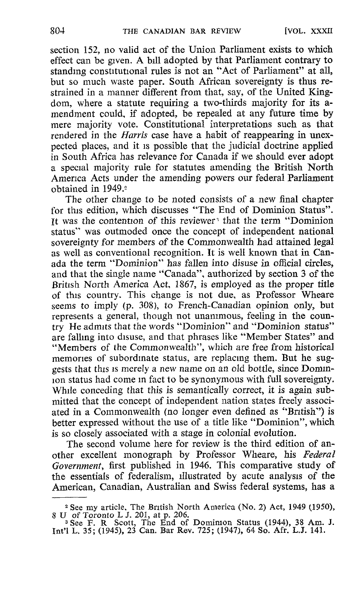section 152, no valid act of the Union Parliament exists to which effect can be given. Abill adopted by that Parliament contrary to standing constitutional rules is not an "Act of Parliament" at all, but so much waste paper. South African sovereignty is thus restrained in a manner different from that, say, of the United Kingdom, where a statute requiring a two-thirds majority for its amendment could, if adopted, be repealed at any future time by mere majority vote. Constitutional interpretations such as that rendered in the Harris case have a habit of reappearing in unexpected places, and it is possible that the judicial doctrine applied in South Africa has relevance for Canada if we should ever adopt a special majority rule for statutes amending the British North America Acts under the amending powers our federal Parliament obtained in 1949 .°

The other change to be noted consists of a new final chapter for this edition, which discusses "The End of Dominion Status". It was the contention of this reviewer<sup>3</sup> that the term "Dominion" status" was outmoded once the concept of independent national sovereignty for members of the Commonwealth had attained legal as well as conventional recognition. It is well known that in Canada the term "Dominion" has fallen into disuse in official circles, and that the single name "Canada", authorized by section 3 of the British North America Act, 1867, is employed as the proper title of this country. This change is not due, as Professor Wheare seems to imply (p. 308), to French-Canadian opinion only, but represents a general, though not unanimous, feeling in the country He admits that the words "Dominion" and "Dominion status" are falling into disuse, and that phrases like "Member States" and "Members of the Commonwealth", which are free from historical memories of subordinate status, are replacing them. But he suggests that this is merely a new name on an old bottle, since Dominion status had come in fact to be synonymous with full sovereignty. While conceding that this is semantically correct, it is again submitted that the concept of independent nation states freely associated in a Commonwealth (no longer even defined as "British") is better expressed without the use of a title like "Dominion", which is so closely associated with a stage in colonial evolution.

The second volume here for review is the third edition of another excellent monograph by Professor Wheare, his Federal Government, first published in 1946. This comparative study of the essentials of federalism, illustrated by acute analysis of the American, Canadian, Australian and Swiss federal systems, has a

<sup>&</sup>lt;sup>2</sup> See my article, The British North America (No. 2) Act, 1949 (1950),<br>
8 U of Toronto L J. 201, at p. 206.<br>
<sup>3</sup> See F. R Scott, The End of Dominion Status (1944), 38 Am. J.<br>
<sup>3</sup> See F. R Scott, The Bar Rev. 725: (1947),

Int'l L. <sup>35</sup> ; (1945), <sup>23</sup> Can. Bar Rev. <sup>725</sup> ; (1947), <sup>64</sup> So. Afr. L.J. <sup>141</sup> .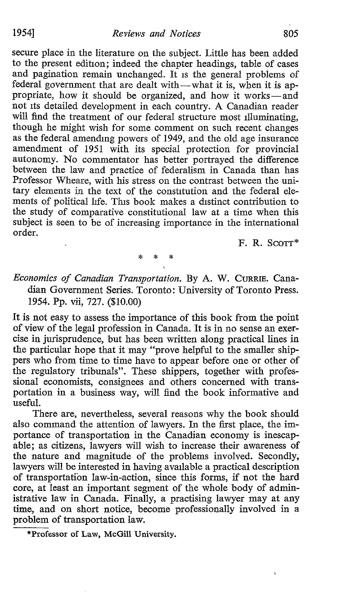secure place in the literature on the subject. Little has been added to the present edition; indeed the chapter headings, table of cases and pagination remain unchanged. It is the general problems of federal government that are dealt with-what it is, when it is appropriate, how it should be organized, and how it works-and not its detailed development in each country. A Canadian reader will find the treatment of our federal structure most illuminating, though he might wish for some comment on such recent changes as the federal amending powers of 1949, and the old age insurance amendment of 1951 with its special protection for provincial autonomy. No commentator has better portrayed the difference between the law and practice of federalism in Canada than has Professor Wheare, with his stress on the contrast between the unitary elements in the text of the constitution and the federal elements of political life. This book makes a distinct contribution to the study of comparative constitutional law at a time when this subject is seen to be of increasing importance in the international order.

F. R. SCOTT\*

Economics of Canadian Transportation. By A. W. CURRIE. Canadian Government Series. Toronto: University of Toronto Press. 1954. Pp. vii, 727. (\$10.00)

 $\frac{1}{2}$ \* ¥

It is not easy to assess the importance of this book from the point of view of the legal profession in Canada. It is in no sense an exercise in jurisprudence, but has been written along practical lines in the particular hope that it may "prove helpful to the smaller shippers who from time to time have to appear before one or other of the regulatory tribunals". These shippers, together with professional economists, consignees and others concerned with transportation in a business way, will find the book informative and useful.

There are, nevertheless, several reasons why the book should also command the attention of lawyers. In the first place, the importance of transportation in the Canadian economy is inescap able; as citizens, lawyers will wish to increase their awareness of the nature and magnitude of the problems involved. Secondly, lawyers will be interested in having available a practical description of transportation law-in-action, since this forms, if not the hard core, at least an important segment of the whole body of administrative law in Canada. Finally, a practising lawyer may at any time, and on short notice, become professionally involved in a problem of transportation law.

\*Professor of Law, McGill University .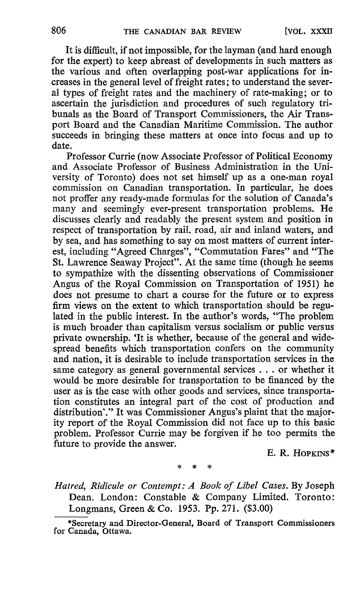It is difficult, if not impossible, for the layman (and hard enough for the expert) to keep abreast of developments in such matters as the various and often overlapping post-war applications for increases in the general level of freight rates ; to understand the several types of freight rates and the machinery of rate-making; or to ascertain the jurisdiction and procedures of such regulatory tribunals as the Board of Transport Commissioners, the Air Transport Board and the Canadian Maritime Commission. The author succeeds in bringing these matters at once into focus and up to date .

Professor Currie (now Associate Professor of Political Economy and Associate Professor of Business Administration in the University of Toronto) does not set himself up as a one-man royal commission on Canadian transportation. In particular, he does not proffer any ready-made formulas for the solution of Canada's many and seemingly ever-present transportation problems. He discusses clearly and readably the present system and position in respect of transportation by rail, road, air and inland waters, and by sea, and has something to say on most matters of current interest, including "Agreed Charges", "Commutation Fares" and "The St. Lawrence Seaway Project". At the same time (though he seems to sympathize with the dissenting observations of Commissioner Angus of the Royal Commission on Transportation of 1951) he does not presume to chart a course for the future or to express firm views on the extent to which transportation should be regulated in the public interest. In the author's words, "The problem is much broader than capitalism versus socialism or public versus private ownership. 'It is whether, because of the general and widespread benefits which transportation confers on the community and nation, it is desirable to include transportation services in the same category as general governmental services . . . or whether it would be more desirable for transportation to be financed by the user as is the case with other goods and services, since transportation constitutes an integral part of the cost of production and distribution'." It was Commissioner Angus's plaint that the majority report of the Royal Commission did not face up to this basic problem. Professor Currie may be forgiven if he too permits the future to provide the answer.

 $E. R.$  HOPKINS<sup>\*</sup>

Hatred, Ridicule or Contempt: A Book of Libel Cases. By Joseph Dean. London: Constable & Company Limited. Toronto: Longmans, Green & Co. 1953. Pp. 271. (\$3.00)

<sup>\*</sup>Secretary and Director-General, Board of Transport Commissioners for Canada, Ottawa.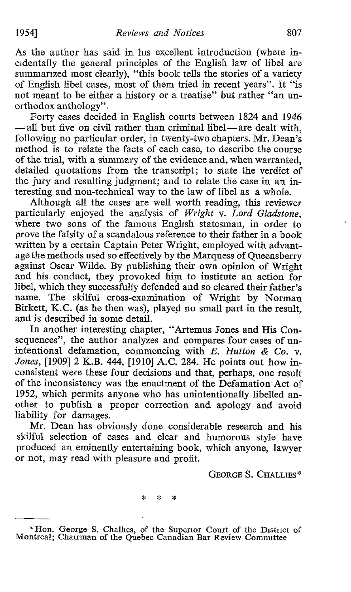As the author has said in his excellent introduction (where incidentally the general principles of the English law of libel are summarized most clearly), "this book tells the stories of a variety of English libel cases, most of them tried in recent years". It "is not meant to be either a history or a treatise" but rather "an unorthodox anthology".

Forty cases decided in English courts between 1824 and 1946  $-$ all but five on civil rather than criminal libel-are dealt with, following no particular order, in twenty-two chapters. Mr. Dean's method is to relate the facts of each case, to describe the course of the trial, with a summary of the evidence and, when warranted, detailed quotations from the transcript; to state the verdict of the jury and resulting judgment; and to relate the case in an interesting and non-technical way to the law of libel as a whole.

Although all the cases are well worth reading, this reviewer particularly enjoyed the analysis of Wright v. Lord Gladstone, where two sons of the famous English statesman, in order to prove the falsity of a scandalous reference to their father in a book written by a certain Captain Peter Wright, employed with advantage the methods used so effectively by the Marquess of Queensberry against Oscar Wilde. By publishing their own opinion of Wright and his conduct, they provoked him to institute an action for libel, which they successfully defended and so cleared their father's name. The skilful cross-examination of Wright by Norman Birkett, K.C. (as he then was), played no small part in the result, and is described in some detail .

In another interesting chapter, "Artemus Jones and His Consequences", the author analyzes and compares four cases of unintentional defamation, commencing with  $E$ . Hutton & Co. v. Jones, [1909] <sup>2</sup> K.B. 444, [1910] A.C. 284. He points out how inconsistent were these four decisions and that, perhaps, one result of the inconsistency was the enactment of the Defamation Act of 1952, which permits anyone who has unintentionally libelled another to publish a proper correction and apology and avoid liability for damages.

Mr. Dean has obviously done considerable research and his skilful selection of cases and clear and humorous style have produced an eminently entertaining book, which anyone, lawyer or not, may read with pleasure and profit.

GEORGE S. CHALLIES\*

 $\Delta$ 

<sup>\*</sup> Hon. George S. Challies, of the Superior Court of the District of Montreal; Chairman of the Quebec Canadian Bar Review Committee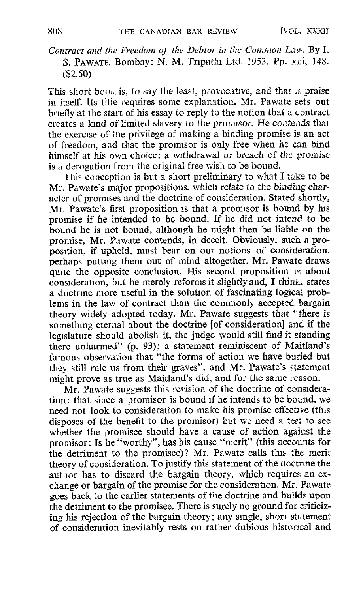## Contract and the Freedom of the Debtor in the Common Law. By I. S. PAWATE. Bombay: N. M. Tripathi Ltd. 1953. Pp. xiii, 148. (\$2.50)

This short book is, to say the least, provocative, and that is praise in itself. Its title requires some explanation. Mr. Pawate sets out briefly at the start of his essay to reply to the notion that a contract creates a kind of limited slavery to the promlsor. He contends that the exercise of the privilege of making a binding promise is an act of freedom, and that the promlsor is only free when he can bind himself at his own choice; a withdrawal or breach of the promise is a derogation from the original free wish to be bound.

This conception is but a short preliminary to what <sup>I</sup> take to be Mr. Pawate's major propositions, which relate to the binding character of promises and the doctrine of consideration. Stated shortly, Mr. Pawate's first proposition is that a promisor is bound by his Mr. Pawate's first proposition is that a promisor is bound by his  $\frac{1}{2}$  is the line of the higher higher higher higher higher higher higher higher higher higher higher higher higher higher higher higher higher higher promise if he intended to be bound. If he did not intend to be bound he is not bound, although he might then be liable on the promise, Mr. Pawate contends, in deceit. Obviously, such a proposition, if upheld, must bear on our notions of consideration, perhaps putting them out of mind altogether. Mr. Pawate draws quite the opposite conclusion. His second proposition is about consideration, but he merely reforms it slightly and, I think, states a doctrine more useful in the solution of fascinating logical problems in the law of contract than the commonly accepted bargain theory widely adopted today. Mr. Pawate suggests that "there is something eternal about the doctrine [of consideration] and if the legislature should abolish it, the judge would still find it standing there unharmed" (p. 93); a statement reminiscent of Maitland's famous observation that "the forms of action we have buried but they still rule us from their graves", and Mr. Pawate's statement might prove as true as Maitland's did, and for the same reason.

Mr. Pawate suggests this revision of the doctrine of consideration : that since a promisor is bound if he intends to be bound, we need not look to consideration to make his promise effective (this disposes of the benefit to the promisor) but we need a test to see whether the promisee should have a cause of action against the promisor: Is he "worthy", has his cause "merit" (this accounts for the detriment to the promisee)? Mr. Pawate calls this the merit theory of consideration. To justify this statement of the doctrine the author has to discard the bargain theory, which requires an exchange or bargain of the promise for the consideration. Mr. Pawate goes back to the earlier statements of the doctrine and builds upon the detriment to the promisee. There is surely no ground for criticizing his rejection of the bargain theory; any single, short statement of consideration inevitably rests on rather dubious historical and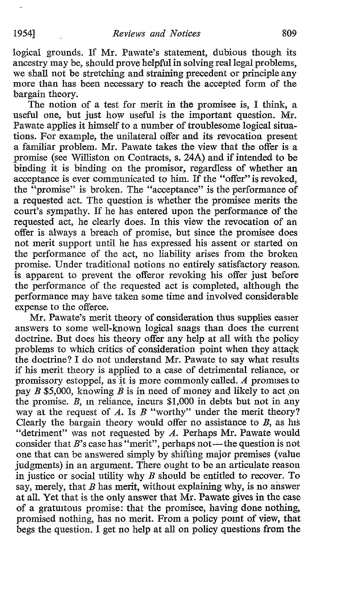logical grounds. If Mr. Pawate's statement, dubious though its ancestry may be, should prove helpful in solving real legal problems, we shall not be stretching and straining precedent or principle any more than has been necessary to reach the accepted form of the bargain theory.

The notion of a test for merit in the promisee is, I think, a useful one, but just how useful is the important question. Mr. Pawate applies it himself to a number of troublesome logical situations. For example, the unilateral offer and its revocation present a familiar problem. Mr. Pawate takes the view that the offer is a promise (see Williston on Contracts, s. 24A) and if intended to be binding it is binding on the promisor, regardless of whether an acceptance is ever communicated to him. If the "offer" is revoked, the "promise" is broken. The "acceptance" is the performance of a requested act. The question is whether the promisee merits the court's sympathy. If he has entered upon the performance of the requested act, he clearly does. In this view the revocation of an offer is always a breach of promise, but since the promisee does not merit support until he has expressed his assent or started on the performance of the act, no liability arises from the broken promise. Under traditional notions no entirely satisfactory reason, is apparent to prevent the offeror revoking his offer just before the performance of the requested act is completed, although the performance may have taken some time and involved considerable expense to the offeree.

Mr. Pawate's merit theory of consideration thus supplies easier answers to some well-known logical snags than does the current doctrine. But does his theory offer any help at all with the policy problems to which critics of consideration point when they attack the doctrine? <sup>I</sup> do not understand Mr. Pawate to say what results if his merit theory is applied to a case of detrimental reliance, or promissory estoppel, as it is more commonly called. A promises to pay B \$5,000, knowing B is in need of money and likely to act on the promise.  $B$ , in reliance, incurs \$1,000 in debts but not in any way at the request of A. Is  $B$  "worthy" under the merit theory? Clearly the bargain theory would offer no assistance to  $B$ , as his "detriment" was not requested by A. Perhaps Mr. Pawate would consider that  $B$ 's case has "merit", perhaps not—the question is not one that can be answered simply by shifting major premises (value judgments) in an argument. There ought to be an articulate reason in justice or social utility why  $B$  should be entitled to recover. To say, merely, that  $B$  has merit, without explaining why, is no answer at all. Yet that is the only answer that Mr. Pawate gives in the case of a gratuitous promise: that the promisee, having done nothing, promised nothing, has no merit. From a policy point of view, that begs the question. I get no help at all on policy questions from the